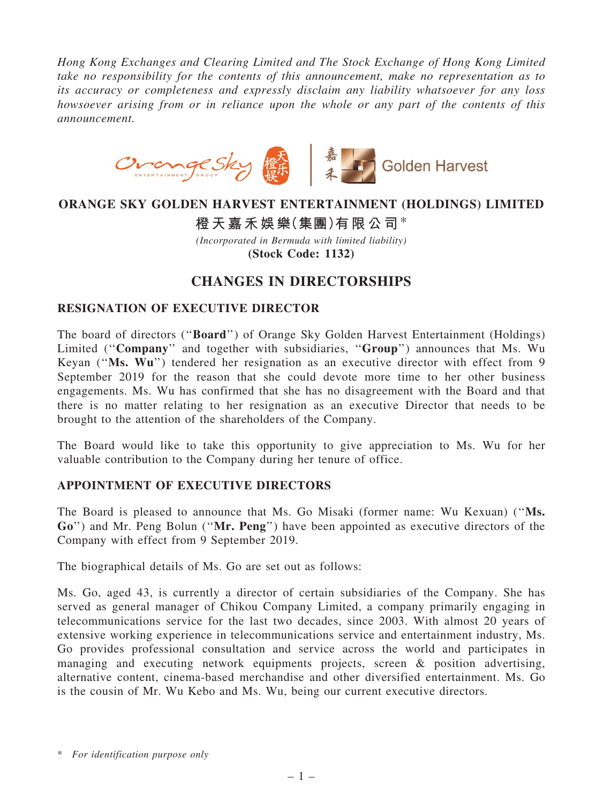Hong Kong Exchanges and Clearing Limited and The Stock Exchange of Hong Kong Limited take no responsibility for the contents of this announcement, make no representation as to its accuracy or completeness and expressly disclaim any liability whatsoever for any loss howsoever arising from or in reliance upon the whole or any part of the contents of this announcement.



## ORANGE SKY GOLDEN HARVEST ENTERTAINMENT (HOLDINGS) LIMITED

橙天嘉禾娛樂(集團)有限公司\*

(Incorporated in Bermuda with limited liability) (Stock Code: 1132)

## CHANGES IN DIRECTORSHIPS

## RESIGNATION OF EXECUTIVE DIRECTOR

The board of directors (''Board'') of Orange Sky Golden Harvest Entertainment (Holdings) Limited ("Company" and together with subsidiaries, "Group") announces that Ms. Wu Keyan (''Ms. Wu'') tendered her resignation as an executive director with effect from 9 September 2019 for the reason that she could devote more time to her other business engagements. Ms. Wu has confirmed that she has no disagreement with the Board and that there is no matter relating to her resignation as an executive Director that needs to be brought to the attention of the shareholders of the Company.

The Board would like to take this opportunity to give appreciation to Ms. Wu for her valuable contribution to the Company during her tenure of office.

## APPOINTMENT OF EXECUTIVE DIRECTORS

The Board is pleased to announce that Ms. Go Misaki (former name: Wu Kexuan) (''Ms. Go") and Mr. Peng Bolun ("Mr. Peng") have been appointed as executive directors of the Company with effect from 9 September 2019.

The biographical details of Ms. Go are set out as follows:

Ms. Go, aged 43, is currently a director of certain subsidiaries of the Company. She has served as general manager of Chikou Company Limited, a company primarily engaging in telecommunications service for the last two decades, since 2003. With almost 20 years of extensive working experience in telecommunications service and entertainment industry, Ms. Go provides professional consultation and service across the world and participates in managing and executing network equipments projects, screen & position advertising, alternative content, cinema-based merchandise and other diversified entertainment. Ms. Go is the cousin of Mr. Wu Kebo and Ms. Wu, being our current executive directors.

<sup>\*</sup> For identification purpose only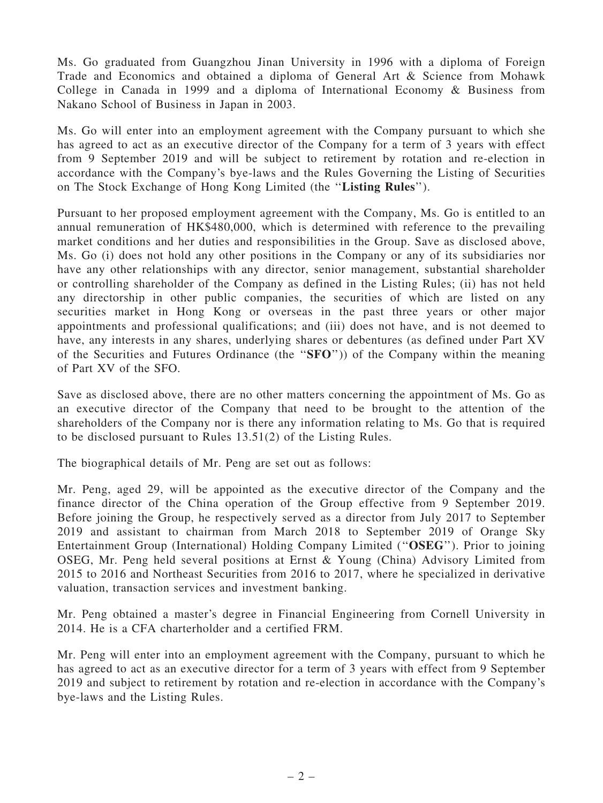Ms. Go graduated from Guangzhou Jinan University in 1996 with a diploma of Foreign Trade and Economics and obtained a diploma of General Art & Science from Mohawk College in Canada in 1999 and a diploma of International Economy & Business from Nakano School of Business in Japan in 2003.

Ms. Go will enter into an employment agreement with the Company pursuant to which she has agreed to act as an executive director of the Company for a term of 3 years with effect from 9 September 2019 and will be subject to retirement by rotation and re-election in accordance with the Company's bye-laws and the Rules Governing the Listing of Securities on The Stock Exchange of Hong Kong Limited (the ''Listing Rules'').

Pursuant to her proposed employment agreement with the Company, Ms. Go is entitled to an annual remuneration of HK\$480,000, which is determined with reference to the prevailing market conditions and her duties and responsibilities in the Group. Save as disclosed above, Ms. Go (i) does not hold any other positions in the Company or any of its subsidiaries nor have any other relationships with any director, senior management, substantial shareholder or controlling shareholder of the Company as defined in the Listing Rules; (ii) has not held any directorship in other public companies, the securities of which are listed on any securities market in Hong Kong or overseas in the past three years or other major appointments and professional qualifications; and (iii) does not have, and is not deemed to have, any interests in any shares, underlying shares or debentures (as defined under Part XV of the Securities and Futures Ordinance (the ''SFO'')) of the Company within the meaning of Part XV of the SFO.

Save as disclosed above, there are no other matters concerning the appointment of Ms. Go as an executive director of the Company that need to be brought to the attention of the shareholders of the Company nor is there any information relating to Ms. Go that is required to be disclosed pursuant to Rules 13.51(2) of the Listing Rules.

The biographical details of Mr. Peng are set out as follows:

Mr. Peng, aged 29, will be appointed as the executive director of the Company and the finance director of the China operation of the Group effective from 9 September 2019. Before joining the Group, he respectively served as a director from July 2017 to September 2019 and assistant to chairman from March 2018 to September 2019 of Orange Sky Entertainment Group (International) Holding Company Limited (''OSEG''). Prior to joining OSEG, Mr. Peng held several positions at Ernst & Young (China) Advisory Limited from 2015 to 2016 and Northeast Securities from 2016 to 2017, where he specialized in derivative valuation, transaction services and investment banking.

Mr. Peng obtained a master's degree in Financial Engineering from Cornell University in 2014. He is a CFA charterholder and a certified FRM.

Mr. Peng will enter into an employment agreement with the Company, pursuant to which he has agreed to act as an executive director for a term of 3 years with effect from 9 September 2019 and subject to retirement by rotation and re-election in accordance with the Company's bye-laws and the Listing Rules.